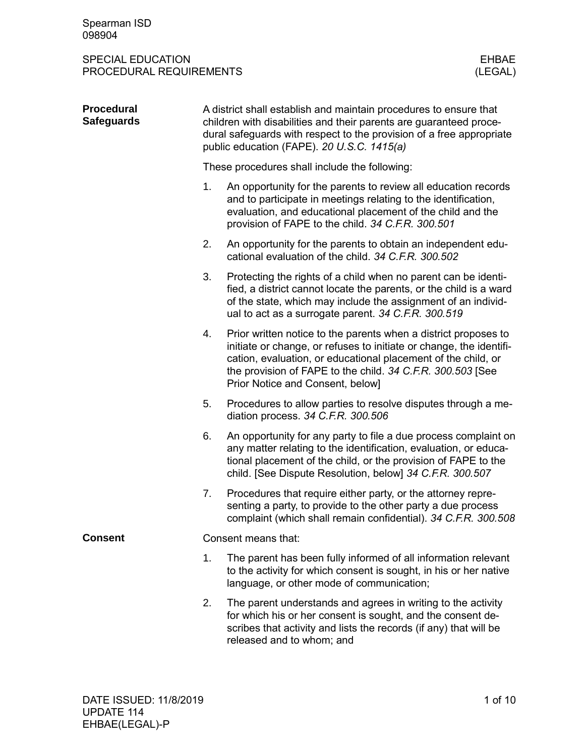| <b>Procedural</b><br><b>Safeguards</b> |                                               | A district shall establish and maintain procedures to ensure that<br>children with disabilities and their parents are guaranteed proce-<br>dural safeguards with respect to the provision of a free appropriate<br>public education (FAPE). 20 U.S.C. 1415(a)                                             |  |  |  |
|----------------------------------------|-----------------------------------------------|-----------------------------------------------------------------------------------------------------------------------------------------------------------------------------------------------------------------------------------------------------------------------------------------------------------|--|--|--|
|                                        | These procedures shall include the following: |                                                                                                                                                                                                                                                                                                           |  |  |  |
|                                        | 1.                                            | An opportunity for the parents to review all education records<br>and to participate in meetings relating to the identification,<br>evaluation, and educational placement of the child and the<br>provision of FAPE to the child. 34 C.F.R. 300.501                                                       |  |  |  |
|                                        | 2.                                            | An opportunity for the parents to obtain an independent edu-<br>cational evaluation of the child. 34 C.F.R. 300.502                                                                                                                                                                                       |  |  |  |
|                                        | 3.                                            | Protecting the rights of a child when no parent can be identi-<br>fied, a district cannot locate the parents, or the child is a ward<br>of the state, which may include the assignment of an individ-<br>ual to act as a surrogate parent. 34 C.F.R. 300.519                                              |  |  |  |
|                                        | 4.                                            | Prior written notice to the parents when a district proposes to<br>initiate or change, or refuses to initiate or change, the identifi-<br>cation, evaluation, or educational placement of the child, or<br>the provision of FAPE to the child. 34 C.F.R. 300.503 [See<br>Prior Notice and Consent, below] |  |  |  |
|                                        | 5.                                            | Procedures to allow parties to resolve disputes through a me-<br>diation process. 34 C.F.R. 300.506                                                                                                                                                                                                       |  |  |  |
|                                        | 6.                                            | An opportunity for any party to file a due process complaint on<br>any matter relating to the identification, evaluation, or educa-<br>tional placement of the child, or the provision of FAPE to the<br>child. [See Dispute Resolution, below] 34 C.F.R. 300.507                                         |  |  |  |
|                                        | 7.                                            | Procedures that require either party, or the attorney repre-<br>senting a party, to provide to the other party a due process<br>complaint (which shall remain confidential). 34 C.F.R. 300.508                                                                                                            |  |  |  |
| <b>Consent</b>                         |                                               | Consent means that:                                                                                                                                                                                                                                                                                       |  |  |  |
|                                        | 1.                                            | The parent has been fully informed of all information relevant<br>to the activity for which consent is sought, in his or her native<br>language, or other mode of communication;                                                                                                                          |  |  |  |
|                                        | 2.                                            | The parent understands and agrees in writing to the activity<br>for which his or her consent is sought, and the consent de-<br>scribes that activity and lists the records (if any) that will be<br>released and to whom; and                                                                             |  |  |  |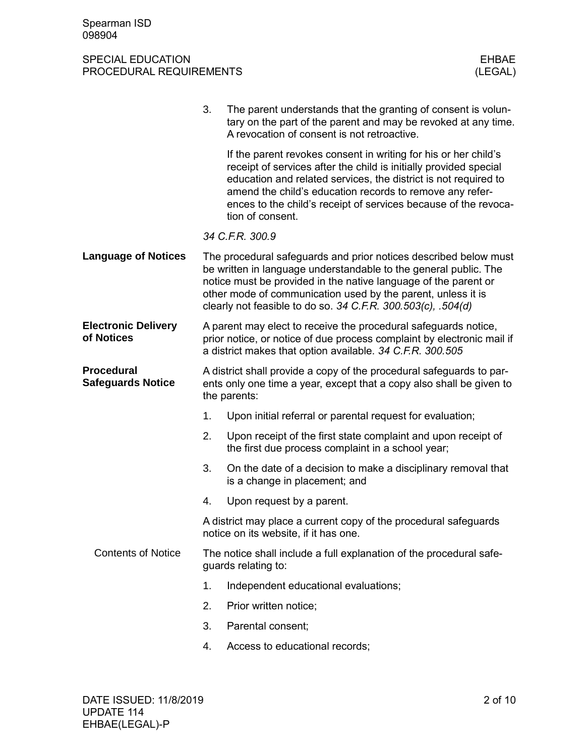|                                               | 3.                                                                                                                                                           | The parent understands that the granting of consent is volun-<br>tary on the part of the parent and may be revoked at any time.<br>A revocation of consent is not retroactive.                                                                                                                                                                             |  |  |
|-----------------------------------------------|--------------------------------------------------------------------------------------------------------------------------------------------------------------|------------------------------------------------------------------------------------------------------------------------------------------------------------------------------------------------------------------------------------------------------------------------------------------------------------------------------------------------------------|--|--|
|                                               |                                                                                                                                                              | If the parent revokes consent in writing for his or her child's<br>receipt of services after the child is initially provided special<br>education and related services, the district is not required to<br>amend the child's education records to remove any refer-<br>ences to the child's receipt of services because of the revoca-<br>tion of consent. |  |  |
|                                               |                                                                                                                                                              | 34 C.F.R. 300.9                                                                                                                                                                                                                                                                                                                                            |  |  |
| <b>Language of Notices</b>                    |                                                                                                                                                              | The procedural safeguards and prior notices described below must<br>be written in language understandable to the general public. The<br>notice must be provided in the native language of the parent or<br>other mode of communication used by the parent, unless it is<br>clearly not feasible to do so. 34 C.F.R. 300.503(c), .504(d)                    |  |  |
| <b>Electronic Delivery</b><br>of Notices      |                                                                                                                                                              | A parent may elect to receive the procedural safeguards notice,<br>prior notice, or notice of due process complaint by electronic mail if<br>a district makes that option available. 34 C.F.R. 300.505                                                                                                                                                     |  |  |
| <b>Procedural</b><br><b>Safeguards Notice</b> | A district shall provide a copy of the procedural safeguards to par-<br>ents only one time a year, except that a copy also shall be given to<br>the parents: |                                                                                                                                                                                                                                                                                                                                                            |  |  |
|                                               | 1.                                                                                                                                                           | Upon initial referral or parental request for evaluation;                                                                                                                                                                                                                                                                                                  |  |  |
|                                               | 2.                                                                                                                                                           | Upon receipt of the first state complaint and upon receipt of<br>the first due process complaint in a school year;                                                                                                                                                                                                                                         |  |  |
|                                               | 3.                                                                                                                                                           | On the date of a decision to make a disciplinary removal that<br>is a change in placement; and                                                                                                                                                                                                                                                             |  |  |
|                                               | 4.                                                                                                                                                           | Upon request by a parent.                                                                                                                                                                                                                                                                                                                                  |  |  |
|                                               | A district may place a current copy of the procedural safeguards<br>notice on its website, if it has one.                                                    |                                                                                                                                                                                                                                                                                                                                                            |  |  |
| <b>Contents of Notice</b>                     |                                                                                                                                                              | The notice shall include a full explanation of the procedural safe-<br>guards relating to:                                                                                                                                                                                                                                                                 |  |  |
|                                               | 1.                                                                                                                                                           | Independent educational evaluations;                                                                                                                                                                                                                                                                                                                       |  |  |
|                                               | 2.                                                                                                                                                           | Prior written notice;                                                                                                                                                                                                                                                                                                                                      |  |  |
|                                               | 3.                                                                                                                                                           | Parental consent;                                                                                                                                                                                                                                                                                                                                          |  |  |
|                                               | 4.                                                                                                                                                           | Access to educational records;                                                                                                                                                                                                                                                                                                                             |  |  |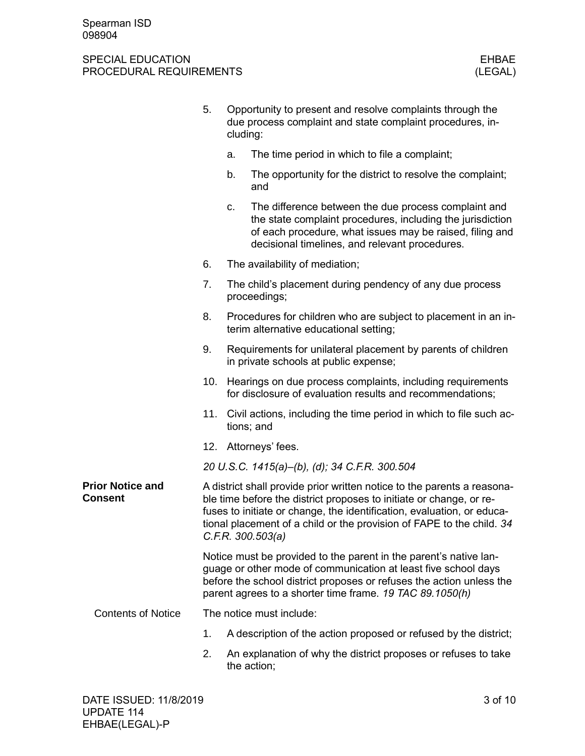|                                           | 5.                                                                                                                                                                                                                                                                                                                     | cluding: | Opportunity to present and resolve complaints through the<br>due process complaint and state complaint procedures, in-                                                                                                                                                  |
|-------------------------------------------|------------------------------------------------------------------------------------------------------------------------------------------------------------------------------------------------------------------------------------------------------------------------------------------------------------------------|----------|-------------------------------------------------------------------------------------------------------------------------------------------------------------------------------------------------------------------------------------------------------------------------|
|                                           |                                                                                                                                                                                                                                                                                                                        | a.       | The time period in which to file a complaint;                                                                                                                                                                                                                           |
|                                           |                                                                                                                                                                                                                                                                                                                        | b.       | The opportunity for the district to resolve the complaint;<br>and                                                                                                                                                                                                       |
|                                           |                                                                                                                                                                                                                                                                                                                        | C.       | The difference between the due process complaint and<br>the state complaint procedures, including the jurisdiction<br>of each procedure, what issues may be raised, filing and<br>decisional timelines, and relevant procedures.                                        |
|                                           | 6.                                                                                                                                                                                                                                                                                                                     |          | The availability of mediation;                                                                                                                                                                                                                                          |
|                                           | 7.                                                                                                                                                                                                                                                                                                                     |          | The child's placement during pendency of any due process<br>proceedings;                                                                                                                                                                                                |
|                                           | 8.                                                                                                                                                                                                                                                                                                                     |          | Procedures for children who are subject to placement in an in-<br>terim alternative educational setting;                                                                                                                                                                |
|                                           | 9.                                                                                                                                                                                                                                                                                                                     |          | Requirements for unilateral placement by parents of children<br>in private schools at public expense;                                                                                                                                                                   |
|                                           | 10.                                                                                                                                                                                                                                                                                                                    |          | Hearings on due process complaints, including requirements<br>for disclosure of evaluation results and recommendations;                                                                                                                                                 |
|                                           | 11.                                                                                                                                                                                                                                                                                                                    |          | Civil actions, including the time period in which to file such ac-<br>tions; and                                                                                                                                                                                        |
|                                           |                                                                                                                                                                                                                                                                                                                        |          | 12. Attorneys' fees.                                                                                                                                                                                                                                                    |
|                                           |                                                                                                                                                                                                                                                                                                                        |          | 20 U.S.C. 1415(a)-(b), (d); 34 C.F.R. 300.504                                                                                                                                                                                                                           |
| <b>Prior Notice and</b><br><b>Consent</b> | A district shall provide prior written notice to the parents a reasona-<br>ble time before the district proposes to initiate or change, or re-<br>fuses to initiate or change, the identification, evaluation, or educa-<br>tional placement of a child or the provision of FAPE to the child. 34<br>C.F.R. 300.503(a) |          |                                                                                                                                                                                                                                                                         |
|                                           |                                                                                                                                                                                                                                                                                                                        |          | Notice must be provided to the parent in the parent's native lan-<br>guage or other mode of communication at least five school days<br>before the school district proposes or refuses the action unless the<br>parent agrees to a shorter time frame. 19 TAC 89.1050(h) |
| <b>Contents of Notice</b>                 |                                                                                                                                                                                                                                                                                                                        |          | The notice must include:                                                                                                                                                                                                                                                |
|                                           | 1.                                                                                                                                                                                                                                                                                                                     |          | A description of the action proposed or refused by the district;                                                                                                                                                                                                        |
|                                           | 2.                                                                                                                                                                                                                                                                                                                     |          | An explanation of why the district proposes or refuses to take<br>the action;                                                                                                                                                                                           |
|                                           |                                                                                                                                                                                                                                                                                                                        |          |                                                                                                                                                                                                                                                                         |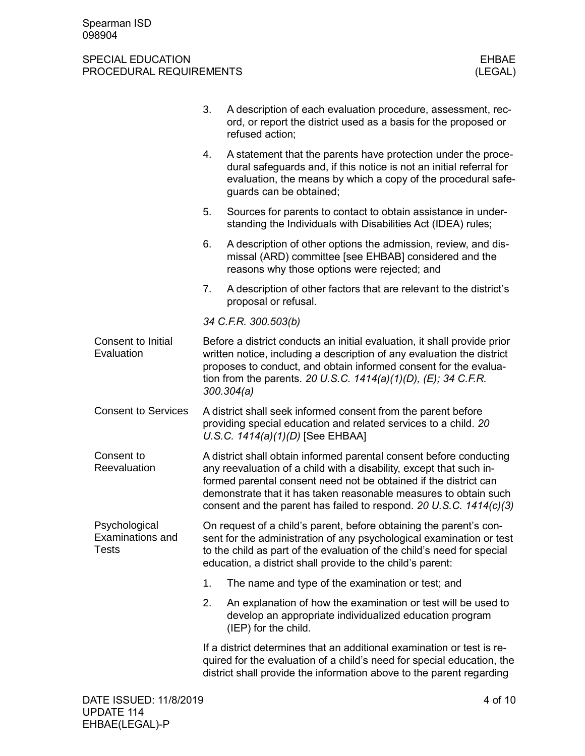|                                                          | 3.                                                                                                                                                                                                                                                                                                                                                       | A description of each evaluation procedure, assessment, rec-<br>ord, or report the district used as a basis for the proposed or<br>refused action;                                                                                                                                 |  |  |  |  |  |
|----------------------------------------------------------|----------------------------------------------------------------------------------------------------------------------------------------------------------------------------------------------------------------------------------------------------------------------------------------------------------------------------------------------------------|------------------------------------------------------------------------------------------------------------------------------------------------------------------------------------------------------------------------------------------------------------------------------------|--|--|--|--|--|
|                                                          | 4.                                                                                                                                                                                                                                                                                                                                                       | A statement that the parents have protection under the proce-<br>dural safeguards and, if this notice is not an initial referral for<br>evaluation, the means by which a copy of the procedural safe-<br>guards can be obtained;                                                   |  |  |  |  |  |
|                                                          | 5.                                                                                                                                                                                                                                                                                                                                                       | Sources for parents to contact to obtain assistance in under-<br>standing the Individuals with Disabilities Act (IDEA) rules;                                                                                                                                                      |  |  |  |  |  |
|                                                          | 6.                                                                                                                                                                                                                                                                                                                                                       | A description of other options the admission, review, and dis-<br>missal (ARD) committee [see EHBAB] considered and the<br>reasons why those options were rejected; and                                                                                                            |  |  |  |  |  |
|                                                          | 7.                                                                                                                                                                                                                                                                                                                                                       | A description of other factors that are relevant to the district's<br>proposal or refusal.                                                                                                                                                                                         |  |  |  |  |  |
|                                                          |                                                                                                                                                                                                                                                                                                                                                          | 34 C.F.R. 300.503(b)                                                                                                                                                                                                                                                               |  |  |  |  |  |
| Consent to Initial<br>Evaluation                         | Before a district conducts an initial evaluation, it shall provide prior<br>written notice, including a description of any evaluation the district<br>proposes to conduct, and obtain informed consent for the evalua-<br>tion from the parents. 20 U.S.C. $1414(a)(1)(D)$ , (E); 34 C.F.R.<br>300.304(a)                                                |                                                                                                                                                                                                                                                                                    |  |  |  |  |  |
| <b>Consent to Services</b>                               | A district shall seek informed consent from the parent before<br>providing special education and related services to a child. 20<br>U.S.C. $1414(a)(1)(D)$ [See EHBAA]                                                                                                                                                                                   |                                                                                                                                                                                                                                                                                    |  |  |  |  |  |
| Consent to<br>Reevaluation                               | A district shall obtain informed parental consent before conducting<br>any reevaluation of a child with a disability, except that such in-<br>formed parental consent need not be obtained if the district can<br>demonstrate that it has taken reasonable measures to obtain such<br>consent and the parent has failed to respond. 20 U.S.C. 1414(c)(3) |                                                                                                                                                                                                                                                                                    |  |  |  |  |  |
| Psychological<br><b>Examinations and</b><br><b>Tests</b> |                                                                                                                                                                                                                                                                                                                                                          | On request of a child's parent, before obtaining the parent's con-<br>sent for the administration of any psychological examination or test<br>to the child as part of the evaluation of the child's need for special<br>education, a district shall provide to the child's parent: |  |  |  |  |  |
|                                                          | 1.                                                                                                                                                                                                                                                                                                                                                       | The name and type of the examination or test; and                                                                                                                                                                                                                                  |  |  |  |  |  |
|                                                          | 2.                                                                                                                                                                                                                                                                                                                                                       | An explanation of how the examination or test will be used to<br>develop an appropriate individualized education program<br>(IEP) for the child.                                                                                                                                   |  |  |  |  |  |
|                                                          |                                                                                                                                                                                                                                                                                                                                                          | If a district determines that an additional examination or test is re-<br>quired for the evaluation of a child's need for special education, the<br>district shall provide the information above to the parent regarding                                                           |  |  |  |  |  |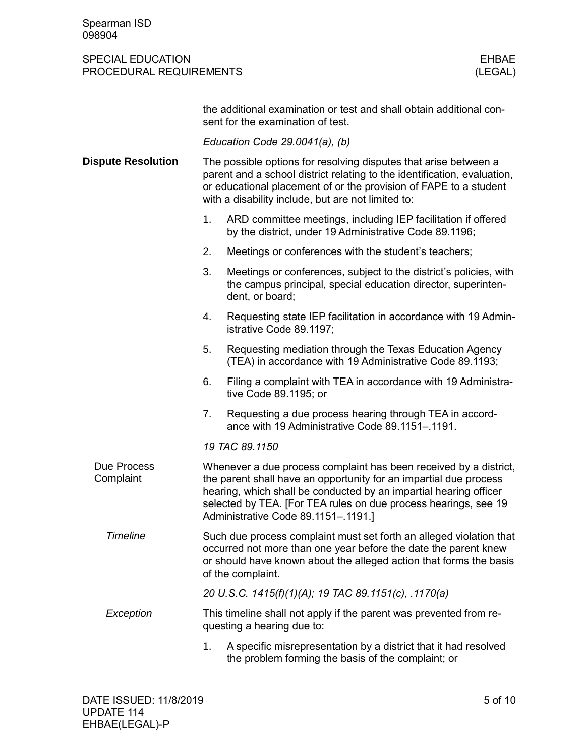|                           | the additional examination or test and shall obtain additional con-<br>sent for the examination of test.                                                                                                                                                                                                              |  |  |  |  |  |  |  |
|---------------------------|-----------------------------------------------------------------------------------------------------------------------------------------------------------------------------------------------------------------------------------------------------------------------------------------------------------------------|--|--|--|--|--|--|--|
|                           | Education Code $29.0041(a)$ , (b)                                                                                                                                                                                                                                                                                     |  |  |  |  |  |  |  |
| <b>Dispute Resolution</b> | The possible options for resolving disputes that arise between a<br>parent and a school district relating to the identification, evaluation,<br>or educational placement of or the provision of FAPE to a student<br>with a disability include, but are not limited to:                                               |  |  |  |  |  |  |  |
|                           | 1.<br>ARD committee meetings, including IEP facilitation if offered<br>by the district, under 19 Administrative Code 89.1196;                                                                                                                                                                                         |  |  |  |  |  |  |  |
|                           | Meetings or conferences with the student's teachers;<br>2.                                                                                                                                                                                                                                                            |  |  |  |  |  |  |  |
|                           | 3.<br>Meetings or conferences, subject to the district's policies, with<br>the campus principal, special education director, superinten-<br>dent, or board;                                                                                                                                                           |  |  |  |  |  |  |  |
|                           | 4.<br>Requesting state IEP facilitation in accordance with 19 Admin-<br>istrative Code 89.1197;                                                                                                                                                                                                                       |  |  |  |  |  |  |  |
|                           | Requesting mediation through the Texas Education Agency<br>5.<br>(TEA) in accordance with 19 Administrative Code 89.1193;                                                                                                                                                                                             |  |  |  |  |  |  |  |
|                           | Filing a complaint with TEA in accordance with 19 Administra-<br>6.<br>tive Code 89.1195; or                                                                                                                                                                                                                          |  |  |  |  |  |  |  |
|                           | 7.<br>Requesting a due process hearing through TEA in accord-<br>ance with 19 Administrative Code 89.1151-.1191.                                                                                                                                                                                                      |  |  |  |  |  |  |  |
|                           | 19 TAC 89.1150                                                                                                                                                                                                                                                                                                        |  |  |  |  |  |  |  |
| Due Process<br>Complaint  | Whenever a due process complaint has been received by a district,<br>the parent shall have an opportunity for an impartial due process<br>hearing, which shall be conducted by an impartial hearing officer<br>selected by TEA. [For TEA rules on due process hearings, see 19<br>Administrative Code 89.1151-.1191.] |  |  |  |  |  |  |  |
| <b>Timeline</b>           | Such due process complaint must set forth an alleged violation that<br>occurred not more than one year before the date the parent knew<br>or should have known about the alleged action that forms the basis<br>of the complaint.                                                                                     |  |  |  |  |  |  |  |
|                           | 20 U.S.C. 1415(f)(1)(A); 19 TAC 89.1151(c), .1170(a)                                                                                                                                                                                                                                                                  |  |  |  |  |  |  |  |
| Exception                 | This timeline shall not apply if the parent was prevented from re-<br>questing a hearing due to:                                                                                                                                                                                                                      |  |  |  |  |  |  |  |
|                           | 1.<br>A specific misrepresentation by a district that it had resolved<br>the problem forming the basis of the complaint; or                                                                                                                                                                                           |  |  |  |  |  |  |  |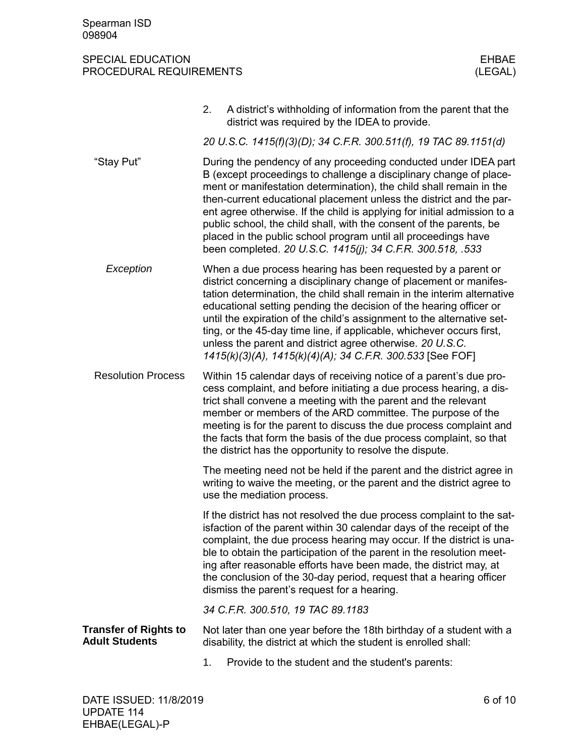|                                                       | A district's withholding of information from the parent that the<br>2.<br>district was required by the IDEA to provide.                                                                                                                                                                                                                                                                                                                                                                                                                                                |
|-------------------------------------------------------|------------------------------------------------------------------------------------------------------------------------------------------------------------------------------------------------------------------------------------------------------------------------------------------------------------------------------------------------------------------------------------------------------------------------------------------------------------------------------------------------------------------------------------------------------------------------|
|                                                       | 20 U.S.C. 1415(f)(3)(D); 34 C.F.R. 300.511(f), 19 TAC 89.1151(d)                                                                                                                                                                                                                                                                                                                                                                                                                                                                                                       |
| "Stay Put"                                            | During the pendency of any proceeding conducted under IDEA part<br>B (except proceedings to challenge a disciplinary change of place-<br>ment or manifestation determination), the child shall remain in the<br>then-current educational placement unless the district and the par-<br>ent agree otherwise. If the child is applying for initial admission to a<br>public school, the child shall, with the consent of the parents, be<br>placed in the public school program until all proceedings have<br>been completed. 20 U.S.C. 1415(j); 34 C.F.R. 300.518, .533 |
| Exception                                             | When a due process hearing has been requested by a parent or<br>district concerning a disciplinary change of placement or manifes-<br>tation determination, the child shall remain in the interim alternative<br>educational setting pending the decision of the hearing officer or<br>until the expiration of the child's assignment to the alternative set-<br>ting, or the 45-day time line, if applicable, whichever occurs first,<br>unless the parent and district agree otherwise. 20 U.S.C.<br>1415(k)(3)(A), 1415(k)(4)(A); 34 C.F.R. 300.533 [See FOF]       |
| <b>Resolution Process</b>                             | Within 15 calendar days of receiving notice of a parent's due pro-<br>cess complaint, and before initiating a due process hearing, a dis-<br>trict shall convene a meeting with the parent and the relevant<br>member or members of the ARD committee. The purpose of the<br>meeting is for the parent to discuss the due process complaint and<br>the facts that form the basis of the due process complaint, so that<br>the district has the opportunity to resolve the dispute.                                                                                     |
|                                                       | The meeting need not be held if the parent and the district agree in<br>writing to waive the meeting, or the parent and the district agree to<br>use the mediation process.                                                                                                                                                                                                                                                                                                                                                                                            |
|                                                       | If the district has not resolved the due process complaint to the sat-<br>isfaction of the parent within 30 calendar days of the receipt of the<br>complaint, the due process hearing may occur. If the district is una-<br>ble to obtain the participation of the parent in the resolution meet-<br>ing after reasonable efforts have been made, the district may, at<br>the conclusion of the 30-day period, request that a hearing officer<br>dismiss the parent's request for a hearing.                                                                           |
|                                                       | 34 C.F.R. 300.510, 19 TAC 89.1183                                                                                                                                                                                                                                                                                                                                                                                                                                                                                                                                      |
| <b>Transfer of Rights to</b><br><b>Adult Students</b> | Not later than one year before the 18th birthday of a student with a<br>disability, the district at which the student is enrolled shall:                                                                                                                                                                                                                                                                                                                                                                                                                               |
|                                                       | Provide to the student and the student's parents:<br>1.                                                                                                                                                                                                                                                                                                                                                                                                                                                                                                                |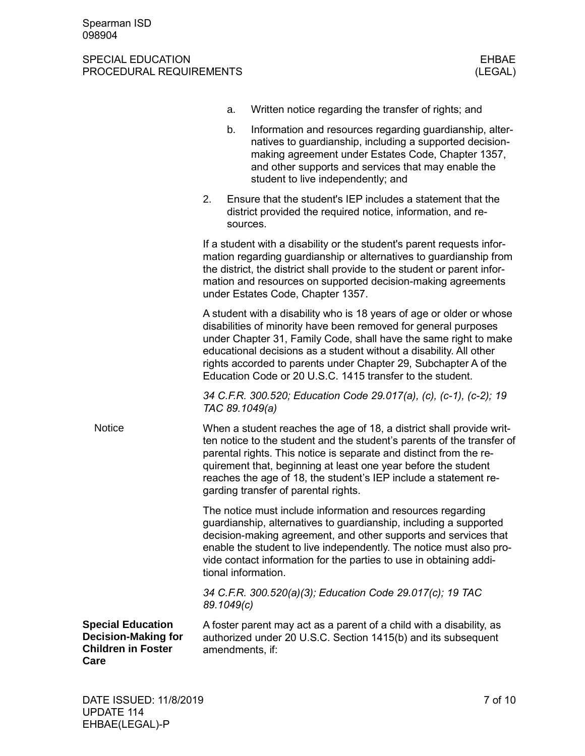|                                                                                             |            | a.       | Written notice regarding the transfer of rights; and                                                                                                                                                                                                                                                                                                                                                               |
|---------------------------------------------------------------------------------------------|------------|----------|--------------------------------------------------------------------------------------------------------------------------------------------------------------------------------------------------------------------------------------------------------------------------------------------------------------------------------------------------------------------------------------------------------------------|
|                                                                                             |            | b.       | Information and resources regarding guardianship, alter-<br>natives to guardianship, including a supported decision-<br>making agreement under Estates Code, Chapter 1357,<br>and other supports and services that may enable the<br>student to live independently; and                                                                                                                                            |
|                                                                                             | 2.         | sources. | Ensure that the student's IEP includes a statement that the<br>district provided the required notice, information, and re-                                                                                                                                                                                                                                                                                         |
|                                                                                             |            |          | If a student with a disability or the student's parent requests infor-<br>mation regarding guardianship or alternatives to guardianship from<br>the district, the district shall provide to the student or parent infor-<br>mation and resources on supported decision-making agreements<br>under Estates Code, Chapter 1357.                                                                                      |
|                                                                                             |            |          | A student with a disability who is 18 years of age or older or whose<br>disabilities of minority have been removed for general purposes<br>under Chapter 31, Family Code, shall have the same right to make<br>educational decisions as a student without a disability. All other<br>rights accorded to parents under Chapter 29, Subchapter A of the<br>Education Code or 20 U.S.C. 1415 transfer to the student. |
|                                                                                             |            |          | 34 C.F.R. 300.520; Education Code 29.017(a), (c), (c-1), (c-2); 19<br>TAC 89.1049(a)                                                                                                                                                                                                                                                                                                                               |
| <b>Notice</b>                                                                               |            |          | When a student reaches the age of 18, a district shall provide writ-<br>ten notice to the student and the student's parents of the transfer of<br>parental rights. This notice is separate and distinct from the re-<br>quirement that, beginning at least one year before the student<br>reaches the age of 18, the student's IEP include a statement re-<br>garding transfer of parental rights.                 |
|                                                                                             |            |          | The notice must include information and resources regarding<br>guardianship, alternatives to guardianship, including a supported<br>decision-making agreement, and other supports and services that<br>enable the student to live independently. The notice must also pro-<br>vide contact information for the parties to use in obtaining addi-<br>tional information.                                            |
|                                                                                             | 89.1049(c) |          | 34 C.F.R. 300.520(a)(3); Education Code 29.017(c); 19 TAC                                                                                                                                                                                                                                                                                                                                                          |
| <b>Special Education</b><br><b>Decision-Making for</b><br><b>Children in Foster</b><br>Care |            |          | A foster parent may act as a parent of a child with a disability, as<br>authorized under 20 U.S.C. Section 1415(b) and its subsequent<br>amendments, if:                                                                                                                                                                                                                                                           |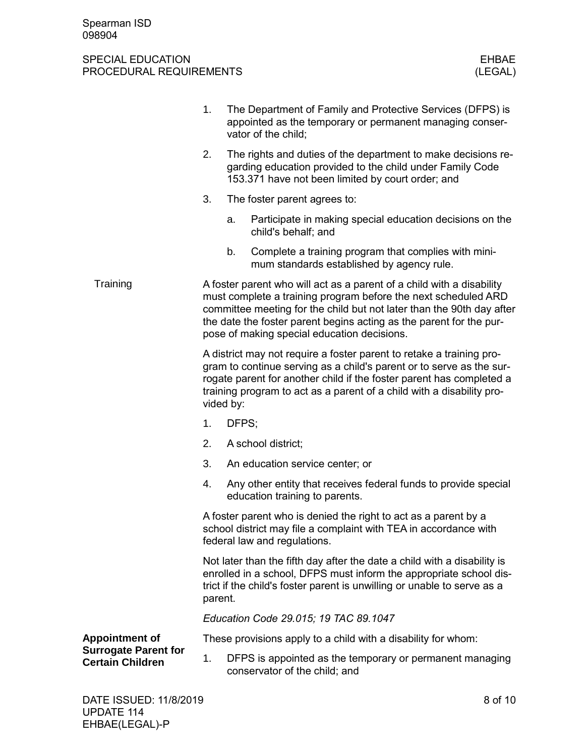|                                                        | 1.                                                                                                                                                                                                                                                                                                                                     |                                                                                                                                                                                 | The Department of Family and Protective Services (DFPS) is<br>appointed as the temporary or permanent managing conser-<br>vator of the child;                                                                             |  |  |
|--------------------------------------------------------|----------------------------------------------------------------------------------------------------------------------------------------------------------------------------------------------------------------------------------------------------------------------------------------------------------------------------------------|---------------------------------------------------------------------------------------------------------------------------------------------------------------------------------|---------------------------------------------------------------------------------------------------------------------------------------------------------------------------------------------------------------------------|--|--|
|                                                        | 2.                                                                                                                                                                                                                                                                                                                                     | The rights and duties of the department to make decisions re-<br>garding education provided to the child under Family Code<br>153.371 have not been limited by court order; and |                                                                                                                                                                                                                           |  |  |
|                                                        | 3.                                                                                                                                                                                                                                                                                                                                     |                                                                                                                                                                                 | The foster parent agrees to:                                                                                                                                                                                              |  |  |
|                                                        |                                                                                                                                                                                                                                                                                                                                        | a.                                                                                                                                                                              | Participate in making special education decisions on the<br>child's behalf; and                                                                                                                                           |  |  |
|                                                        |                                                                                                                                                                                                                                                                                                                                        | b.                                                                                                                                                                              | Complete a training program that complies with mini-<br>mum standards established by agency rule.                                                                                                                         |  |  |
| Training                                               | A foster parent who will act as a parent of a child with a disability<br>must complete a training program before the next scheduled ARD<br>committee meeting for the child but not later than the 90th day after<br>the date the foster parent begins acting as the parent for the pur-<br>pose of making special education decisions. |                                                                                                                                                                                 |                                                                                                                                                                                                                           |  |  |
|                                                        | A district may not require a foster parent to retake a training pro-<br>gram to continue serving as a child's parent or to serve as the sur-<br>rogate parent for another child if the foster parent has completed a<br>training program to act as a parent of a child with a disability pro-<br>vided by:                             |                                                                                                                                                                                 |                                                                                                                                                                                                                           |  |  |
|                                                        | 1.                                                                                                                                                                                                                                                                                                                                     | DFPS;                                                                                                                                                                           |                                                                                                                                                                                                                           |  |  |
|                                                        | 2.                                                                                                                                                                                                                                                                                                                                     |                                                                                                                                                                                 | A school district;                                                                                                                                                                                                        |  |  |
|                                                        | 3.                                                                                                                                                                                                                                                                                                                                     |                                                                                                                                                                                 | An education service center; or                                                                                                                                                                                           |  |  |
|                                                        | 4.                                                                                                                                                                                                                                                                                                                                     |                                                                                                                                                                                 | Any other entity that receives federal funds to provide special<br>education training to parents.                                                                                                                         |  |  |
|                                                        |                                                                                                                                                                                                                                                                                                                                        | A foster parent who is denied the right to act as a parent by a<br>school district may file a complaint with TEA in accordance with<br>federal law and regulations.             |                                                                                                                                                                                                                           |  |  |
|                                                        | parent.                                                                                                                                                                                                                                                                                                                                |                                                                                                                                                                                 | Not later than the fifth day after the date a child with a disability is<br>enrolled in a school, DFPS must inform the appropriate school dis-<br>trict if the child's foster parent is unwilling or unable to serve as a |  |  |
|                                                        | Education Code 29.015; 19 TAC 89.1047                                                                                                                                                                                                                                                                                                  |                                                                                                                                                                                 |                                                                                                                                                                                                                           |  |  |
| <b>Appointment of</b>                                  |                                                                                                                                                                                                                                                                                                                                        |                                                                                                                                                                                 | These provisions apply to a child with a disability for whom:                                                                                                                                                             |  |  |
| <b>Surrogate Parent for</b><br><b>Certain Children</b> | 1.                                                                                                                                                                                                                                                                                                                                     |                                                                                                                                                                                 | DFPS is appointed as the temporary or permanent managing<br>conservator of the child; and                                                                                                                                 |  |  |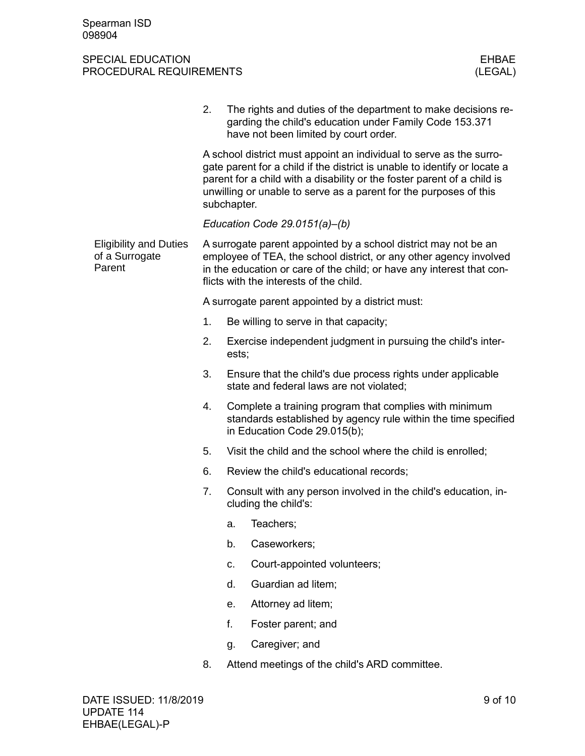|                                                           | 2.                                                                                                                                                                                                                                                                                                              |                                                                                                                                                          | The rights and duties of the department to make decisions re-<br>garding the child's education under Family Code 153.371<br>have not been limited by court order. |  |  |  |
|-----------------------------------------------------------|-----------------------------------------------------------------------------------------------------------------------------------------------------------------------------------------------------------------------------------------------------------------------------------------------------------------|----------------------------------------------------------------------------------------------------------------------------------------------------------|-------------------------------------------------------------------------------------------------------------------------------------------------------------------|--|--|--|
|                                                           | A school district must appoint an individual to serve as the surro-<br>gate parent for a child if the district is unable to identify or locate a<br>parent for a child with a disability or the foster parent of a child is<br>unwilling or unable to serve as a parent for the purposes of this<br>subchapter. |                                                                                                                                                          |                                                                                                                                                                   |  |  |  |
|                                                           |                                                                                                                                                                                                                                                                                                                 | Education Code $29.0151(a)$ –(b)                                                                                                                         |                                                                                                                                                                   |  |  |  |
| <b>Eligibility and Duties</b><br>of a Surrogate<br>Parent | A surrogate parent appointed by a school district may not be an<br>employee of TEA, the school district, or any other agency involved<br>in the education or care of the child; or have any interest that con-<br>flicts with the interests of the child.                                                       |                                                                                                                                                          |                                                                                                                                                                   |  |  |  |
|                                                           |                                                                                                                                                                                                                                                                                                                 | A surrogate parent appointed by a district must:                                                                                                         |                                                                                                                                                                   |  |  |  |
|                                                           | 1.                                                                                                                                                                                                                                                                                                              |                                                                                                                                                          | Be willing to serve in that capacity;                                                                                                                             |  |  |  |
|                                                           | 2.                                                                                                                                                                                                                                                                                                              | ests;                                                                                                                                                    | Exercise independent judgment in pursuing the child's inter-                                                                                                      |  |  |  |
|                                                           | 3.                                                                                                                                                                                                                                                                                                              |                                                                                                                                                          | Ensure that the child's due process rights under applicable<br>state and federal laws are not violated;                                                           |  |  |  |
|                                                           | 4.                                                                                                                                                                                                                                                                                                              | Complete a training program that complies with minimum<br>standards established by agency rule within the time specified<br>in Education Code 29.015(b); |                                                                                                                                                                   |  |  |  |
|                                                           | 5.                                                                                                                                                                                                                                                                                                              |                                                                                                                                                          | Visit the child and the school where the child is enrolled;                                                                                                       |  |  |  |
|                                                           | 6.                                                                                                                                                                                                                                                                                                              |                                                                                                                                                          | Review the child's educational records;                                                                                                                           |  |  |  |
|                                                           | 7.                                                                                                                                                                                                                                                                                                              |                                                                                                                                                          | Consult with any person involved in the child's education, in-<br>cluding the child's:                                                                            |  |  |  |
|                                                           |                                                                                                                                                                                                                                                                                                                 | а.                                                                                                                                                       | Teachers;                                                                                                                                                         |  |  |  |
|                                                           |                                                                                                                                                                                                                                                                                                                 | b.                                                                                                                                                       | Caseworkers;                                                                                                                                                      |  |  |  |
|                                                           |                                                                                                                                                                                                                                                                                                                 | C.                                                                                                                                                       | Court-appointed volunteers;                                                                                                                                       |  |  |  |
|                                                           |                                                                                                                                                                                                                                                                                                                 | d.                                                                                                                                                       | Guardian ad litem;                                                                                                                                                |  |  |  |
|                                                           |                                                                                                                                                                                                                                                                                                                 | е.                                                                                                                                                       | Attorney ad litem;                                                                                                                                                |  |  |  |
|                                                           |                                                                                                                                                                                                                                                                                                                 | f.                                                                                                                                                       | Foster parent; and                                                                                                                                                |  |  |  |
|                                                           |                                                                                                                                                                                                                                                                                                                 | g.                                                                                                                                                       | Caregiver; and                                                                                                                                                    |  |  |  |
|                                                           | 8.                                                                                                                                                                                                                                                                                                              |                                                                                                                                                          | Attend meetings of the child's ARD committee.                                                                                                                     |  |  |  |
|                                                           |                                                                                                                                                                                                                                                                                                                 |                                                                                                                                                          |                                                                                                                                                                   |  |  |  |